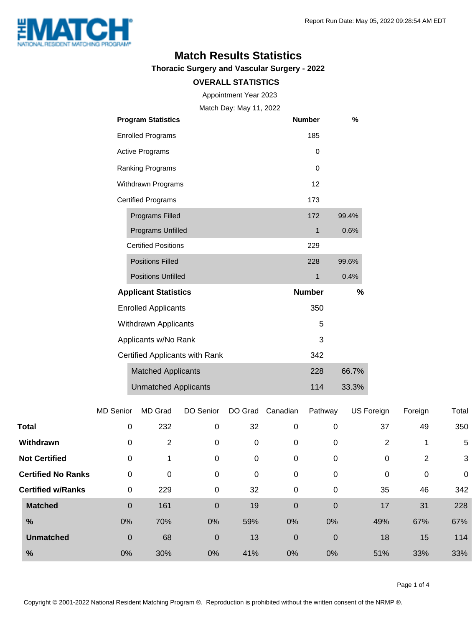

### **Match Results Statistics**

**Thoracic Surgery and Vascular Surgery - 2022**

#### **OVERALL STATISTICS**

Appointment Year 2023

Match Day: May 11, 2022

|                                | <b>Program Statistics</b>   | <b>Number</b> | %     |
|--------------------------------|-----------------------------|---------------|-------|
|                                | <b>Enrolled Programs</b>    | 185           |       |
|                                | <b>Active Programs</b>      | 0             |       |
| Ranking Programs               |                             | 0             |       |
| Withdrawn Programs             |                             | 12            |       |
|                                | <b>Certified Programs</b>   | 173           |       |
|                                | Programs Filled             | 172           | 99.4% |
|                                | Programs Unfilled           | 1             | 0.6%  |
|                                | <b>Certified Positions</b>  | 229           |       |
|                                | <b>Positions Filled</b>     | 228           | 99.6% |
|                                | <b>Positions Unfilled</b>   | 1             | 0.4%  |
|                                | <b>Applicant Statistics</b> | <b>Number</b> | %     |
|                                | <b>Enrolled Applicants</b>  | 350           |       |
|                                | Withdrawn Applicants        | 5             |       |
| Applicants w/No Rank           |                             | 3             |       |
| Certified Applicants with Rank |                             | 342           |       |
|                                | <b>Matched Applicants</b>   | 228           | 66.7% |
|                                | <b>Unmatched Applicants</b> | 114           | 33.3% |

|                           | <b>MD Senior</b> | MD Grad | DO Senior      | DO Grad     | Canadian         | Pathway     | US Foreign | Foreign        | Total       |
|---------------------------|------------------|---------|----------------|-------------|------------------|-------------|------------|----------------|-------------|
| <b>Total</b>              | 0                | 232     | 0              | 32          | 0                | 0           | 37         | 49             | 350         |
| Withdrawn                 | 0                | 2       | 0              | 0           | 0                | 0           | 2          |                | 5           |
| <b>Not Certified</b>      | 0                | 1       | 0              | 0           | $\pmb{0}$        | 0           | 0          | $\overline{2}$ | 3           |
| <b>Certified No Ranks</b> | 0                | 0       | 0              | $\mathbf 0$ | 0                | 0           | 0          | 0              | $\mathbf 0$ |
| <b>Certified w/Ranks</b>  | 0                | 229     | 0              | 32          | $\pmb{0}$        | 0           | 35         | 46             | 342         |
| <b>Matched</b>            | $\mathbf 0$      | 161     | $\overline{0}$ | 19          | $\boldsymbol{0}$ | $\mathbf 0$ | 17         | 31             | 228         |
| %                         | 0%               | 70%     | 0%             | 59%         | 0%               | 0%          | 49%        | 67%            | 67%         |
| <b>Unmatched</b>          | $\mathbf 0$      | 68      | $\mathbf 0$    | 13          | $\boldsymbol{0}$ | $\mathbf 0$ | 18         | 15             | 114         |
| $\frac{9}{6}$             | 0%               | 30%     | 0%             | 41%         | 0%               | 0%          | 51%        | 33%            | 33%         |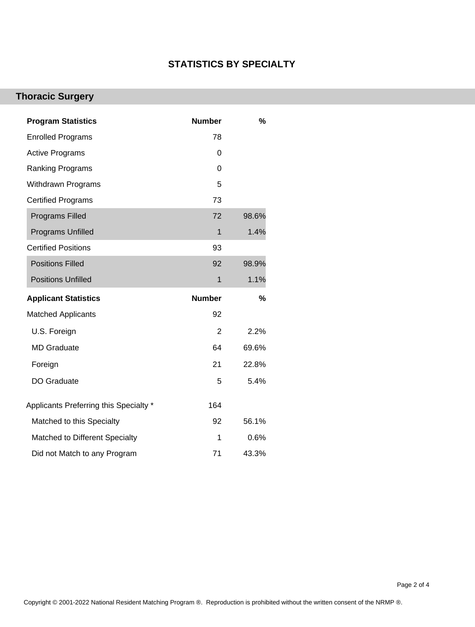### **STATISTICS BY SPECIALTY**

# **Thoracic Surgery**

| <b>Program Statistics</b>              | <b>Number</b>  | $\%$  |
|----------------------------------------|----------------|-------|
| <b>Enrolled Programs</b>               | 78             |       |
| <b>Active Programs</b>                 | 0              |       |
| <b>Ranking Programs</b>                | 0              |       |
| <b>Withdrawn Programs</b>              | 5              |       |
| <b>Certified Programs</b>              | 73             |       |
| <b>Programs Filled</b>                 | 72             | 98.6% |
| <b>Programs Unfilled</b>               | 1              | 1.4%  |
| <b>Certified Positions</b>             | 93             |       |
| <b>Positions Filled</b>                | 92             | 98.9% |
| <b>Positions Unfilled</b>              | $\mathbf{1}$   | 1.1%  |
|                                        |                |       |
| <b>Applicant Statistics</b>            | <b>Number</b>  | %     |
| <b>Matched Applicants</b>              | 92             |       |
| U.S. Foreign                           | $\overline{2}$ | 2.2%  |
| <b>MD Graduate</b>                     | 64             | 69.6% |
| Foreign                                | 21             | 22.8% |
| <b>DO Graduate</b>                     | 5              | 5.4%  |
| Applicants Preferring this Specialty * | 164            |       |
| Matched to this Specialty              | 92             | 56.1% |
| Matched to Different Specialty         | 1              | 0.6%  |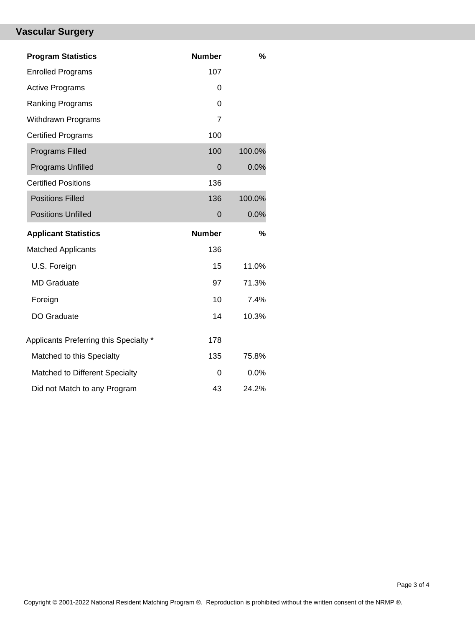# **Vascular Surgery**

| <b>Program Statistics</b>              | <b>Number</b>  | %      |
|----------------------------------------|----------------|--------|
| <b>Enrolled Programs</b>               | 107            |        |
| <b>Active Programs</b>                 | 0              |        |
| Ranking Programs                       | 0              |        |
| <b>Withdrawn Programs</b>              | $\overline{7}$ |        |
| <b>Certified Programs</b>              | 100            |        |
| <b>Programs Filled</b>                 | 100            | 100.0% |
| Programs Unfilled                      | $\mathbf 0$    | 0.0%   |
| <b>Certified Positions</b>             | 136            |        |
| <b>Positions Filled</b>                | 136            | 100.0% |
| <b>Positions Unfilled</b>              | $\Omega$       | 0.0%   |
|                                        |                |        |
| <b>Applicant Statistics</b>            | <b>Number</b>  | %      |
| <b>Matched Applicants</b>              | 136            |        |
| U.S. Foreign                           | 15             | 11.0%  |
| <b>MD Graduate</b>                     | 97             | 71.3%  |
| Foreign                                | 10             | 7.4%   |
| DO Graduate                            | 14             | 10.3%  |
| Applicants Preferring this Specialty * | 178            |        |
| Matched to this Specialty              | 135            | 75.8%  |
| Matched to Different Specialty         | 0              | 0.0%   |